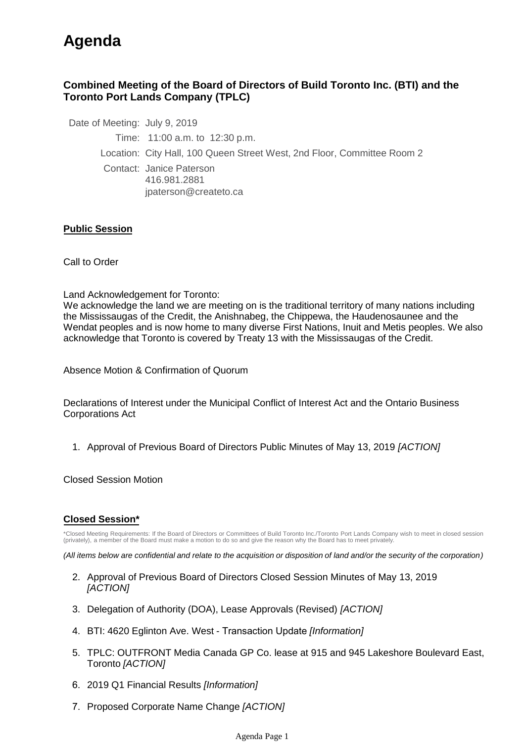# **Agenda**

## **Combined Meeting of the Board of Directors of Build Toronto Inc. (BTI) and the Toronto Port Lands Company (TPLC)**

Date of Meeting: July 9, 2019

Time: 11:00 a.m. to 12:30 p.m.

Location: City Hall, 100 Queen Street West, 2nd Floor, Committee Room 2

Contact: Janice Paterson 416.981.2881 jpaterson@createto.ca

### **Public Session**

Call to Order

Land Acknowledgement for Toronto:

We acknowledge the land we are meeting on is the traditional territory of many nations including the Mississaugas of the Credit, the Anishnabeg, the Chippewa, the Haudenosaunee and the Wendat peoples and is now home to many diverse First Nations, Inuit and Metis peoples. We also acknowledge that Toronto is covered by Treaty 13 with the Mississaugas of the Credit.

Absence Motion & Confirmation of Quorum

Declarations of Interest under the Municipal Conflict of Interest Act and the Ontario Business Corporations Act

1. Approval of Previous Board of Directors Public Minutes of May 13, 2019 *[ACTION]* 

Closed Session Motion

#### **Closed Session\***

\*Closed Meeting Requirements: If the Board of Directors or Committees of Build Toronto Inc./Toronto Port Lands Company wish to meet in closed session (privately), a member of the Board must make a motion to do so and give the reason why the Board has to meet privately.

*(All items below are confidential and relate to the acquisition or disposition of land and/or the security of the corporation)*

- 2. Approval of Previous Board of Directors Closed Session Minutes of May 13, 2019 *[ACTION]*
- 3. Delegation of Authority (DOA), Lease Approvals (Revised) *[ACTION]*
- 4. BTI: 4620 Eglinton Ave. West Transaction Update *[Information]*
- TPLC: OUTFRONT Media Canada GP Co. lease at 915 and 945 Lakeshore Boulevard East, 5. Toronto *[ACTION]*
- 6. 2019 Q1 Financial Results *[Information]*
- 7. Proposed Corporate Name Change *[ACTION]*